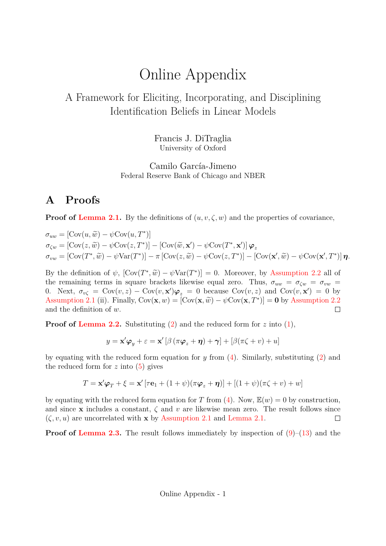# Online Appendix

## A Framework for Eliciting, Incorporating, and Disciplining Identification Beliefs in Linear Models

Francis J. DiTraglia University of Oxford

Camilo García-Jimeno Federal Reserve Bank of Chicago and NBER

### **A Proofs**

**Proof of Lemma 2.1.** By the definitions of  $(u, v, \zeta, w)$  and the properties of covariance,

 $\sigma_{uw} = [\text{Cov}(u, \widetilde{w}) - \psi \text{Cov}(u, T^*)]$  $\sigma_{\zeta w} = [\text{Cov}(z, \widetilde{w}) - \psi \text{Cov}(z, T^*)] - [\text{Cov}(\widetilde{w}, \mathbf{x}') - \psi \text{Cov}(T^*, \mathbf{x}')]\boldsymbol{\varphi}_z$  $\sigma_{vw} = [\text{Cov}(T^*, \widetilde{w}) - \psi \text{Var}(T^*)] - \pi [\text{Cov}(z, \widetilde{w}) - \psi \text{Cov}(z, T^*)] - [\text{Cov}(\mathbf{x}', \widetilde{w}) - \psi \text{Cov}(\mathbf{x}', T^*)] \boldsymbol{\eta}.$ 

By the definition of  $\psi$ ,  $[\text{Cov}(T^*, \tilde{w}) - \psi \text{Var}(T^*)] = 0$ . Moreover, by Assumption 2.2 all of the remaining terms in square brackets likewise equal zero. Thus,  $\sigma_{uw} = \sigma_{\zeta w} = \sigma_{vw}$ 0. Next,  $\sigma_{v\zeta} = \text{Cov}(v, z) - \text{Cov}(v, x')\varphi_z = 0$  because  $\text{Cov}(v, z)$  and  $\text{Cov}(v, x') = 0$  by Assumption 2.1 (ii). Finally,  $Cov(\mathbf{x}, w) = [Cov(\mathbf{x}, \tilde{w}) - \psi Cov(\mathbf{x}, T^*)] = \mathbf{0}$  by Assumption 2.2 and the definition of w. and the definition of w.

**Proof of Lemma 2.2.** Substituting (2) and the reduced form for z into (1),

$$
y = \mathbf{x}'\boldsymbol{\varphi}_y + \varepsilon = \mathbf{x}'[\beta(\pi\boldsymbol{\varphi}_z + \boldsymbol{\eta}) + \boldsymbol{\gamma}] + [\beta(\pi\zeta + v) + u]
$$

by equating with the reduced form equation for y from  $(4)$ . Similarly, substituting  $(2)$  and the reduced form for  $z$  into  $(5)$  gives

$$
T = \mathbf{x}'\boldsymbol{\varphi}_T + \boldsymbol{\xi} = \mathbf{x}'[\tau\mathbf{e}_1 + (1+\psi)(\pi\boldsymbol{\varphi}_z + \boldsymbol{\eta})] + [(1+\psi)(\pi\boldsymbol{\zeta} + \boldsymbol{v}) + \boldsymbol{w}]
$$

by equating with the reduced form equation for T from (4). Now,  $\mathbb{E}(w) = 0$  by construction, and since x includes a constant,  $\zeta$  and v are likewise mean zero. The result follows since  $(\zeta, v, u)$  are uncorrelated with **x** by Assumption 2.1 and Lemma 2.1.  $\Box$ 

**Proof of Lemma 2.3.** The result follows immediately by inspection of  $(9)$ – $(13)$  and the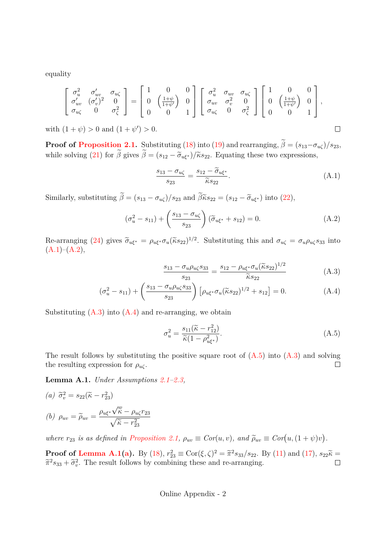equality

$$
\begin{bmatrix}\n\sigma_u^2 & \sigma_{uv}^{\prime} & \sigma_{u\zeta} \\
\sigma_{uv}^{\prime} & (\sigma_v^{\prime})^2 & 0 \\
\sigma_{u\zeta} & 0 & \sigma_{\zeta}^2\n\end{bmatrix} = \begin{bmatrix}\n1 & 0 & 0 \\
0 & \left(\frac{1+\psi}{1+\psi^{\prime}}\right) & 0 \\
0 & 0 & 1\n\end{bmatrix} \begin{bmatrix}\n\sigma_u^2 & \sigma_{uv} & \sigma_{u\zeta} \\
\sigma_{uv} & \sigma_v^2 & 0 \\
\sigma_{u\zeta} & 0 & \sigma_{\zeta}^2\n\end{bmatrix} \begin{bmatrix}\n1 & 0 & 0 \\
0 & \left(\frac{1+\psi}{1+\psi^{\prime}}\right) & 0 \\
0 & 0 & 1\n\end{bmatrix},
$$

with  $(1 + \psi) > 0$  and  $(1 + \psi') > 0$ .

**Proof of Proposition 2.1.** Substituting (18) into (19) and rearranging,  $\beta = (s_{13} - \sigma_{u\zeta})/s_{23}$ , while solving (21) for  $\beta$  gives  $\beta = (s_{12} - \tilde{\sigma}_{u\xi^*})/\tilde{\kappa}s_{22}$ . Equating these two expressions,

$$
\frac{s_{13} - \sigma_{u\zeta}}{s_{23}} = \frac{s_{12} - \widetilde{\sigma}_{u\xi^*}}{\widetilde{\kappa}s_{22}}.
$$
\n(A.1)

 $\Box$ 

Similarly, substituting  $\beta = (s_{13} - \sigma_{u\zeta})/s_{23}$  and  $\beta \tilde{\kappa} s_{22} = (s_{12} - \tilde{\sigma}_{u\xi^*})$  into (22),

$$
(\sigma_u^2 - s_{11}) + \left(\frac{s_{13} - \sigma_{u\zeta}}{s_{23}}\right)(\tilde{\sigma}_{u\xi^*} + s_{12}) = 0.
$$
 (A.2)

Re-arranging (24) gives  $\widetilde{\sigma}_{u\xi^*} = \rho_{u\xi^*} \sigma_u (\widetilde{\kappa} s_{22})^{1/2}$ . Substituting this and  $\sigma_{u\zeta} = \sigma_u \rho_{u\zeta} s_{33}$  into  $(A.1)–(A.2),$ 

$$
\frac{s_{13} - \sigma_u \rho_{u\zeta} s_{33}}{s_{23}} = \frac{s_{12} - \rho_{u\xi^*} \sigma_u (\tilde{\kappa} s_{22})^{1/2}}{\tilde{\kappa} s_{22}} \tag{A.3}
$$

$$
(\sigma_u^2 - s_{11}) + \left(\frac{s_{13} - \sigma_u \rho_{u\zeta} s_{33}}{s_{23}}\right) \left[\rho_{u\zeta^*} \sigma_u (\tilde{\kappa} s_{22})^{1/2} + s_{12}\right] = 0.
$$
 (A.4)

Substituting  $(A.3)$  into  $(A.4)$  and re-arranging, we obtain

$$
\sigma_u^2 = \frac{s_{11}(\tilde{\kappa} - r_{12}^2)}{\tilde{\kappa}(1 - \rho_{u\xi^*}^2)}.
$$
\n(A.5)

The result follows by substituting the positive square root of  $(A.5)$  into  $(A.3)$  and solving the resulting expression for  $\rho_{u\zeta}$ .  $\Box$ 

**Lemma A.1.** *Under Assumptions 2.1–2.3,*

(a) 
$$
\widetilde{\sigma}_v^2 = s_{22}(\widetilde{\kappa} - r_{23}^2)
$$
  
(b)  $\rho_{uv} = \widetilde{\rho}_{uv} = \frac{\rho_{u\xi^*} \sqrt{\widetilde{\kappa}} - \rho_{u\zeta} r_{23}}{\sqrt{\widetilde{\kappa} - r_{23}^2}}$ 

*where*  $r_{23}$  *is as defined in Proposition 2.1,*  $\rho_{uv} \equiv Cor(u, v)$ *, and*  $\tilde{\rho}_{uv} \equiv Cor(u, (1 + \psi)v)$ *.* 

**Proof of Lemma A.1(a).** By (18),  $r_{23}^2 \equiv \text{Cor}(\xi, \zeta)^2 = \tilde{\pi}^2 s_{33}/s_{22}$ . By (11) and (17),  $s_{22}\tilde{\kappa} = \tilde{\kappa}^2$  $\tilde{\pi}^2 s_{33} + \tilde{\sigma}_v^2$ . The result follows by combining these and re-arranging.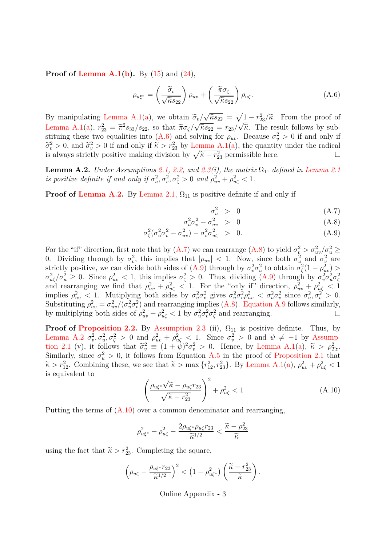**Proof of Lemma A.1(b).** By (15) and (24),

$$
\rho_{u\xi^*} = \left(\frac{\tilde{\sigma}_v}{\sqrt{\tilde{\kappa}s_{22}}}\right)\rho_{uv} + \left(\frac{\tilde{\pi}\sigma_{\zeta}}{\sqrt{\tilde{\kappa}s_{22}}}\right)\rho_{u\zeta}.\tag{A.6}
$$

By manipulating Lemma A.1(a), we obtain  $\tilde{\sigma}_v/\sqrt{\tilde{\kappa} s_{22}} = \sqrt{1 - r_{23}^2/\tilde{\kappa}}$ . From the proof of Lemma A.1(a),  $r_{23}^2 = \tilde{\pi}^2 s_{33}/s_{22}$ , so that  $\tilde{\pi}\sigma_{\zeta}/\sqrt{\tilde{\kappa}s_{22}} = r_{23}/\sqrt{\tilde{\kappa}}$ . The result follows by substituing these two equalities into (A.6) and solving for  $\rho_{uv}$ . Because  $\sigma_v^2 > 0$  if and only if  $\widetilde{\sigma}_v^2 > 0$ , and  $\widetilde{\sigma}_v^2 > 0$  if and only if  $\widetilde{\kappa} > r_{23}^2$  by Lemma A.1(a), the quantity under the radical is always strictly positive making division by  $\sqrt{\tilde{\kappa} - r_{23}^2}$  permissible here.

**Lemma A.2.** *Under Assumptions* 2.1, 2.2, and 2.3(i), the matrix  $\Omega_{11}$  defined in Lemma 2.1 *is positive definite if and only if*  $\sigma_u^2, \sigma_v^2, \sigma_\zeta^2 > 0$  *and*  $\rho_{uv}^2 + \rho_{u\zeta}^2 < 1$ .

 $\sigma$ 

**Proof of Lemma A.2.** By Lemma 2.1,  $\Omega_{11}$  is positive definite if and only if

$$
\sigma_u^2 > 0 \tag{A.7}
$$

$$
_{u}^{2}\sigma_{v}^{2} - \sigma_{uv}^{2} > 0 \tag{A.8}
$$

$$
\sigma_{\zeta}^2(\sigma_u^2 \sigma_v^2 - \sigma_{uv}^2) - \sigma_v^2 \sigma_{u\zeta}^2 > 0.
$$
\n(A.9)

For the "if" direction, first note that by  $(A.7)$  we can rearrange  $(A.8)$  to yield  $\sigma_v^2 > \sigma_{uv}^2/\sigma_u^2 \ge$ 0. Dividing through by  $\sigma_v^2$ , this implies that  $|\rho_{uv}| < 1$ . Now, since both  $\sigma_u^2$  and  $\sigma_v^2$  are strictly positive, we can divide both sides of (A.9) through by  $\sigma_v^2 \sigma_u^2$  to obtain  $\sigma_\zeta^2 (1 - \rho_{uv}^2)$  $\sigma_{u\zeta}^2/\sigma_u^2 \geq 0$ . Since  $\rho_{uv}^2 < 1$ , this implies  $\sigma_{\zeta}^2 > 0$ . Thus, dividing (A.9) through by  $\sigma_v^2 \sigma_u^2 \sigma_{\zeta}^2$  and rearranging we find that  $\rho_{uv}^2 + \rho_{u\zeta}^2 < 1$ . For the "only if" direction,  $\rho_{uv}^2 + \rho$ implies  $\rho_{uv}^2 < 1$ . Mutiplying both sides by  $\sigma_u^2 \sigma_v^2 \sigma_v^2$  gives  $\sigma_u^2 \sigma_v^2 \rho_{uv}^2 < \sigma_u^2 \sigma_v^2$  since  $\sigma_u^2, \sigma_v^2 > 0$ . Substituting  $\rho_{uv}^2 = \sigma_{uv}^2/(\sigma_u^2 \sigma_v^2)$  and rearranging implies (A.8). Equation A.9 follows similarly, by multiplying both sides of  $\rho_{uv}^2 + \rho_{u\zeta}^2 < 1$  by  $\sigma_u^2 \sigma_v^2 \sigma_\zeta^2$  and rearranging.

**Proof of Proposition 2.2.** By Assumption 2.3 (ii),  $\Omega_{11}$  is positive definite. Thus, by Lemma A.2  $\sigma_v^2$ ,  $\sigma_u^2$ ,  $\sigma_{\zeta}^2 > 0$  and  $\rho_{uv}^2 + \rho_{u\zeta}^2 < 1$ . Since  $\sigma_v^2 > 0$  and  $\psi \neq -1$  by Assumption 2.1 (v), it follows that  $\tilde{\sigma}_v^2 \equiv (1 + \dot{\psi})^2 \sigma_v^2 > 0$ . Hence, by Lemma A.1(a),  $\tilde{\kappa} > \rho_{Tx}^2$ . Similarly, since  $\sigma_u^2 > 0$ , it follows from Equation A.5 in the proof of Proposition 2.1 that  $\widetilde{\kappa} > r_{12}^2$ . Combining these, we see that  $\widetilde{\kappa} > \max\{r_{12}^2, r_{23}^2\}$ . By Lemma A.1(a),  $\rho_{uv}^2 + \rho_{u\zeta}^2 < 1$ is equivalent to

$$
\left(\frac{\rho_{u\xi^*}\sqrt{\tilde{\kappa}}-\rho_{u\zeta}r_{23}}{\sqrt{\tilde{\kappa}-r_{23}^2}}\right)^2+\rho_{u\zeta}^2<1\tag{A.10}
$$

Putting the terms of  $(A.10)$  over a common denominator and rearranging,

$$
\rho_{u\xi^*}^2 + \rho_{u\zeta}^2 - \frac{2\rho_{u\xi^*}\rho_{u\zeta}r_{23}}{\widetilde{\kappa}^{1/2}} < \frac{\widetilde{\kappa} - \rho_{23}^2}{\widetilde{\kappa}}
$$

using the fact that  $\tilde{\kappa} > r_{23}^2$ . Completing the square,

$$
\left(\rho_{u\zeta}-\frac{\rho_{u\xi^*}r_{23}}{\widetilde{\kappa}^{1/2}}\right)^2 < \left(1-\rho_{u\xi^*}^2\right)\left(\frac{\widetilde{\kappa}-r_{23}^2}{\widetilde{\kappa}}\right).
$$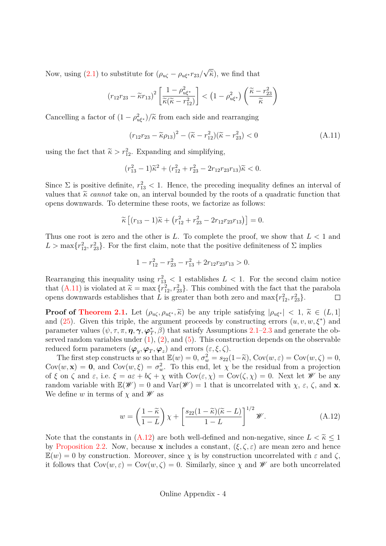Now, using (2.1) to substitute for  $(\rho_{u\zeta} - \rho_{u\xi^*}r_{23}/\sqrt{\tilde{\kappa}})$ , we find that

$$
(r_{12}r_{23} - \widetilde{\kappa}r_{13})^2 \left[ \frac{1 - \rho_{u\xi^*}^2}{\widetilde{\kappa}(\widetilde{\kappa} - r_{12}^2)} \right] < \left(1 - \rho_{u\xi^*}^2\right) \left( \frac{\widetilde{\kappa} - r_{23}^2}{\widetilde{\kappa}} \right)
$$

Cancelling a factor of  $(1 - \rho_{u\xi^*}^2)/\tilde{\kappa}$  from each side and rearranging

$$
(r_{12}r_{23} - \tilde{\kappa}\rho_{13})^2 - (\tilde{\kappa} - r_{12}^2)(\tilde{\kappa} - r_{23}^2) < 0 \tag{A.11}
$$

using the fact that  $\tilde{\kappa} > r_{12}^2$ . Expanding and simplifying,

$$
(r_{13}^2 - 1)\tilde{\kappa}^2 + (r_{12}^2 + r_{23}^2 - 2r_{12}r_{23}r_{13})\tilde{\kappa} < 0.
$$

Since  $\Sigma$  is positive definite,  $r_{13}^2$  < 1. Hence, the preceding inequality defines an interval of values that  $\tilde{\kappa}$  *cannot* take on, an interval bounded by the roots of a quadratic function that opens downwards. To determine these roots, we factorize as follows:

$$
\widetilde{\kappa}\left[ (r_{13} - 1)\widetilde{\kappa} + (r_{12}^2 + r_{23}^2 - 2r_{12}r_{23}r_{13})\right] = 0.
$$

Thus one root is zero and the other is L. To complete the proof, we show that  $L < 1$  and  $L > \max\{r_{12}^2, r_{23}^2\}$ . For the first claim, note that the positive definiteness of  $\Sigma$  implies

$$
1 - r_{12}^2 - r_{23}^2 - r_{13}^2 + 2r_{12}r_{23}r_{13} > 0.
$$

Rearranging this inequality using  $r_{13}^2 < 1$  establishes  $L < 1$ . For the second claim notice that  $(A.11)$  is violated at  $\widetilde{\kappa} = \max \{r_{12}^2, r_{23}^2\}$ . This combined with the fact that the parabola opens downwards establishes that L is greater than both zero and  $\max\{r_{12}^2, r_{23}^2\}$ .

**Proof of Theorem 2.1.** Let  $(\rho_{u\zeta}, \rho_{u\xi^*}, \tilde{\kappa})$  be any triple satisfying  $|\rho_{u\xi^*}| < 1$ ,  $\tilde{\kappa} \in (L, 1]$ and (25). Given this triple, the argument proceeds by constructing errors  $(u, v, w, \xi^*)$  and parameter values  $(\psi, \tau, \pi, \eta, \gamma, \varphi_T^*, \beta)$  that satisfy Assumptions 2.1–2.3 and generate the observed random variables under  $(1)$ ,  $(2)$ , and  $(5)$ . This construction depends on the observable reduced form parameters  $(\varphi_y, \varphi_T, \varphi_z)$  and errors  $(\varepsilon, \xi, \zeta)$ .

The first step constructs w so that  $\mathbb{E}(w) = 0$ ,  $\sigma_w^2 = s_{22}(1-\tilde{\kappa})$ ,  $Cov(w, \varepsilon) = Cov(w, \zeta) = 0$ ,  $Cov(w, x) = 0$ , and  $Cov(w, \xi) = \sigma_w^2$ . To this end, let  $\chi$  be the residual from a projection of  $\xi$  on  $\zeta$  and  $\varepsilon$ , i.e.  $\xi = a\varepsilon + b\zeta + \chi$  with  $Cov(\varepsilon, \chi) = Cov(\zeta, \chi) = 0$ . Next let  $\mathscr W$  be any random variable with  $\mathbb{E}(\mathscr{W})=0$  and  $\text{Var}(\mathscr{W})=1$  that is uncorrelated with  $\chi$ ,  $\varepsilon$ ,  $\zeta$ , and **x**. We define w in terms of  $\chi$  and  $\mathscr W$  as

$$
w = \left(\frac{1-\widetilde{\kappa}}{1-L}\right)\chi + \left[\frac{s_{22}(1-\widetilde{\kappa})(\widetilde{\kappa}-L)}{1-L}\right]^{1/2}\mathscr{W}.
$$
 (A.12)

Note that the constants in  $(A.12)$  are both well-defined and non-negative, since  $L < \tilde{\kappa} < 1$ by Proposition 2.2. Now, because x includes a constant,  $(\xi, \zeta, \varepsilon)$  are mean zero and hence  $\mathbb{E}(w) = 0$  by construction. Moreover, since  $\chi$  is by construction uncorrelated with  $\varepsilon$  and  $\zeta$ , it follows that  $Cov(w, \varepsilon) = Cov(w, \zeta) = 0$ . Similarly, since  $\chi$  and  $\mathscr W$  are both uncorrelated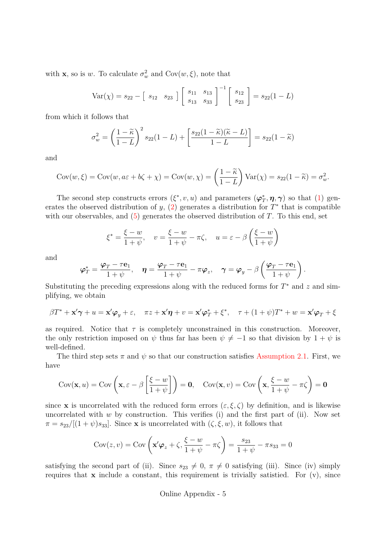with **x**, so is w. To calculate  $\sigma_w^2$  and  $Cov(w, \xi)$ , note that

$$
Var(\chi) = s_{22} - [s_{12} \ s_{23}] \begin{bmatrix} s_{11} & s_{13} \\ s_{13} & s_{33} \end{bmatrix}^{-1} \begin{bmatrix} s_{12} \\ s_{23} \end{bmatrix} = s_{22}(1 - L)
$$

from which it follows that

$$
\sigma_w^2 = \left(\frac{1-\widetilde{\kappa}}{1-L}\right)^2 s_{22}(1-L) + \left[\frac{s_{22}(1-\widetilde{\kappa})(\widetilde{\kappa}-L)}{1-L}\right] = s_{22}(1-\widetilde{\kappa})
$$

and

$$
Cov(w,\xi) = Cov(w, a\varepsilon + b\zeta + \chi) = Cov(w, \chi) = \left(\frac{1-\widetilde{\kappa}}{1-L}\right) Var(\chi) = s_{22}(1-\widetilde{\kappa}) = \sigma_w^2.
$$

The second step constructs errors  $(\xi^*, v, u)$  and parameters  $(\varphi_T^*, \eta, \gamma)$  so that (1) generates the observed distribution of y,  $(2)$  generates a distribution for  $T^*$  that is compatible with our observables, and  $(5)$  generates the observed distribution of  $T$ . To this end, set

$$
\xi^* = \frac{\xi - w}{1 + \psi}, \quad v = \frac{\xi - w}{1 + \psi} - \pi \zeta, \quad u = \varepsilon - \beta \left( \frac{\xi - w}{1 + \psi} \right)
$$

and

$$
\varphi_T^* = \frac{\varphi_T - \tau \mathbf{e}_1}{1 + \psi}, \quad \eta = \frac{\varphi_T - \tau \mathbf{e}_1}{1 + \psi} - \pi \varphi_z, \quad \gamma = \varphi_y - \beta \left( \frac{\varphi_T - \tau \mathbf{e}_1}{1 + \psi} \right).
$$

Substituting the preceding expressions along with the reduced forms for  $T^*$  and  $z$  and simplifying, we obtain

$$
\beta T^* + \mathbf{x}' \boldsymbol{\gamma} + u = \mathbf{x}' \boldsymbol{\varphi}_y + \varepsilon, \quad \pi z + \mathbf{x}' \boldsymbol{\eta} + v = \mathbf{x}' \boldsymbol{\varphi}_T^* + \xi^*, \quad \tau + (1 + \psi) T^* + w = \mathbf{x}' \boldsymbol{\varphi}_T + \xi
$$

as required. Notice that  $\tau$  is completely unconstrained in this construction. Moreover, the only restriction imposed on  $\psi$  thus far has been  $\psi \neq -1$  so that division by  $1 + \psi$  is well-defined.

The third step sets  $\pi$  and  $\psi$  so that our construction satisfies Assumption 2.1. First, we have

$$
Cov(\mathbf{x}, u) = Cov\left(\mathbf{x}, \varepsilon - \beta \left[\frac{\xi - w}{1 + \psi}\right]\right) = \mathbf{0}, \quad Cov(\mathbf{x}, v) = Cov\left(\mathbf{x}, \frac{\xi - w}{1 + \psi} - \pi\zeta\right) = \mathbf{0}
$$

since **x** is uncorrelated with the reduced form errors  $(\varepsilon, \xi, \zeta)$  by definition, and is likewise uncorrelated with  $w$  by construction. This verifies (i) and the first part of (ii). Now set  $\pi = s_{23}/[(1 + \psi)s_{33}]$ . Since **x** is uncorrelated with  $(\zeta, \xi, w)$ , it follows that

$$
Cov(z, v) = Cov\left(\mathbf{x}'\boldsymbol{\varphi}_z + \zeta, \frac{\xi - w}{1 + \psi} - \pi\zeta\right) = \frac{s_{23}}{1 + \psi} - \pi s_{33} = 0
$$

satisfying the second part of (ii). Since  $s_{23} \neq 0$ ,  $\pi \neq 0$  satisfying (iii). Since (iv) simply requires that  $x$  include a constant, this requirement is trivially satistied. For  $(v)$ , since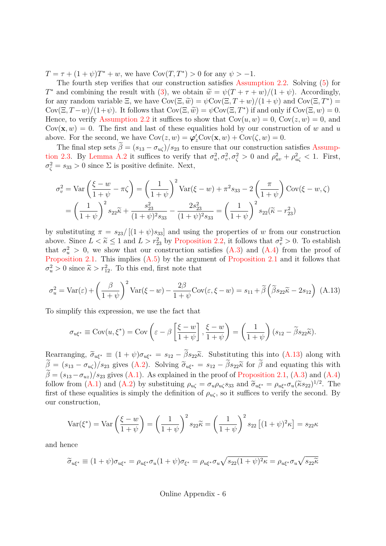$T = \tau + (1 + \psi)T^* + w$ , we have  $Cov(T, T^*) > 0$  for any  $\psi > -1$ .

The fourth step verifies that our construction satisfies Assumption 2.2. Solving (5) for T<sup>\*</sup> and combining the result with (3), we obtain  $\tilde{w} = \psi(T + \tau + w)/(1 + \psi)$ . Accordingly, for any random variable  $\Xi$ , we have  $Cov(\Xi, \widetilde{w}) = \psi Cov(\Xi, T + w)/(1 + \psi)$  and  $Cov(\Xi, T^*) =$  $Cov(\Xi, T-w)/(1+\psi)$ . It follows that  $Cov(\Xi, \widetilde{w}) = \psi Cov(\Xi, T^*)$  if and only if  $Cov(\Xi, w) = 0$ . Hence, to verify Assumption 2.2 it suffices to show that  $Cov(u, w) = 0$ ,  $Cov(z, w) = 0$ , and  $Cov(\mathbf{x}, w) = 0$ . The first and last of these equalities hold by our construction of w and u above. For the second, we have  $Cov(z, w) = \varphi'_z Cov(\mathbf{x}, w) + Cov(\zeta, w) = 0$ .

The final step sets  $\beta = (s_{13} - \sigma_{u\zeta})/s_{23}$  to ensure that our construction satisfies Assumption 2.3. By Lemma A.2 it suffices to verify that  $\sigma_u^2, \sigma_v^2, \sigma_\zeta^2 > 0$  and  $\rho_{uv}^2 + \rho_{u\zeta}^2 < 1$ . First,  $\sigma_{\zeta}^2 = s_{33} > 0$  since  $\Sigma$  is positive definite. Next,

$$
\sigma_v^2 = \text{Var}\left(\frac{\xi - w}{1 + \psi} - \pi\zeta\right) = \left(\frac{1}{1 + \psi}\right)^2 \text{Var}(\xi - w) + \pi^2 s_{33} - 2\left(\frac{\pi}{1 + \psi}\right) \text{Cov}(\xi - w, \zeta)
$$

$$
= \left(\frac{1}{1 + \psi}\right)^2 s_{22} \tilde{\kappa} + \frac{s_{23}^2}{(1 + \psi)^2 s_{33}} - \frac{2s_{23}^2}{(1 + \psi)^2 s_{33}} = \left(\frac{1}{1 + \psi}\right)^2 s_{22} (\tilde{\kappa} - r_{23}^2)
$$

by substituting  $\pi = s_{23}/[(1 + \psi)s_{33}]$  and using the properties of w from our construction above. Since  $L < \tilde{\kappa} \le 1$  and  $L > r_{23}^2$  by Proposition 2.2, it follows that  $\sigma_v^2 > 0$ . To establish that  $\sigma_u^2 > 0$ , we show that our construction satisfies  $(A.3)$  and  $(A.4)$  from the proof of Proposition 2.1. This implies (A.5) by the argument of Proposition 2.1 and it follows that  $\sigma_u^2 > 0$  since  $\tilde{\kappa} > r_{12}^2$ . To this end, first note that

$$
\sigma_u^2 = \text{Var}(\varepsilon) + \left(\frac{\beta}{1+\psi}\right)^2 \text{Var}(\xi - w) - \frac{2\beta}{1+\psi} \text{Cov}(\varepsilon, \xi - w) = s_{11} + \tilde{\beta} \left(\tilde{\beta} s_{22} \tilde{\kappa} - 2s_{12}\right) \tag{A.13}
$$

To simplify this expression, we use the fact that

$$
\sigma_{u\xi^*} \equiv \text{Cov}(u, \xi^*) = \text{Cov}\left(\varepsilon - \beta \left[\frac{\xi - w}{1 + \psi}\right], \frac{\xi - w}{1 + \psi}\right) = \left(\frac{1}{1 + \psi}\right)(s_{12} - \tilde{\beta}s_{22}\tilde{\kappa}).
$$

Rearranging,  $\tilde{\sigma}_{u\xi^*} \equiv (1 + \psi)\sigma_{u\xi^*} = s_{12} - \beta s_{22}\tilde{\kappa}$ . Substituting this into (A.13) along with  $\beta = (s_{13} - \sigma_{u\zeta})/s_{23}$  gives (A.2). Solving  $\tilde{\sigma}_{u\xi^*} = s_{12} - \beta s_{22}\tilde{\kappa}$  for  $\beta$  and equating this with  $\beta = (s_{13}-\sigma_{uz})/s_{23}$  gives (A.1). As explained in the proof of Proposition 2.1, (A.3) and (A.4) follow from (A.1) and (A.2) by substituing  $\rho_{u\zeta} = \sigma_u \rho_{u\zeta} s_{33}$  and  $\tilde{\sigma}_{u\xi^*} = \rho_{u\xi^*} \sigma_u (\tilde{\kappa} s_{22})^{1/2}$ . The first of these equalities is simply the definition of  $\rho_{\mu\zeta}$ , so it suffices to verify the second. By our construction,

$$
\text{Var}(\xi^*) = \text{Var}\left(\frac{\xi - w}{1 + \psi}\right) = \left(\frac{1}{1 + \psi}\right)^2 s_{22}\tilde{\kappa} = \left(\frac{1}{1 + \psi}\right)^2 s_{22} \left[(1 + \psi)^2 \kappa\right] = s_{22}\kappa
$$

and hence

$$
\widetilde{\sigma}_{u\xi^*} \equiv (1+\psi)\sigma_{u\xi^*} = \rho_{u\xi^*}\sigma_u(1+\psi)\sigma_{\xi^*} = \rho_{u\xi^*}\sigma_u\sqrt{s_{22}(1+\psi)^2\kappa} = \rho_{u\xi^*}\sigma_u\sqrt{s_{22}\tilde{\kappa}}
$$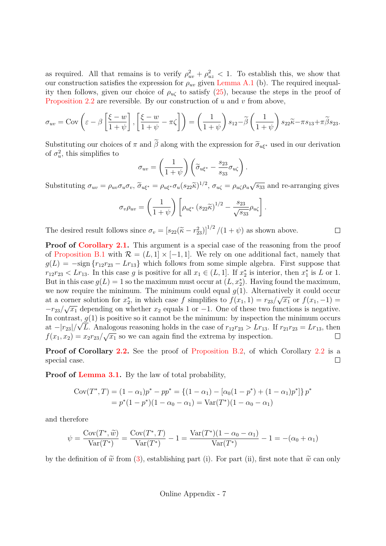as required. All that remains is to verify  $\rho_{uv}^2 + \rho_{uz}^2 < 1$ . To establish this, we show that our construction satisfies the expression for  $\rho_{uv}$  given Lemma A.1 (b). The required inequality then follows, given our choice of  $\rho_{\mu\zeta}$  to satisfy (25), because the steps in the proof of Proposition 2.2 are reversible. By our construction of u and v from above,

$$
\sigma_{uv} = \text{Cov}\left(\varepsilon - \beta \left[\frac{\xi - w}{1 + \psi}\right], \left[\frac{\xi - w}{1 + \psi} - \pi\zeta\right]\right) = \left(\frac{1}{1 + \psi}\right)s_{12} - \tilde{\beta}\left(\frac{1}{1 + \psi}\right)s_{22}\tilde{\kappa} - \pi s_{13} + \pi\tilde{\beta}s_{23}.
$$

Substituting our choices of  $\pi$  and  $\beta$  along with the expression for  $\tilde{\sigma}_{u\xi^*}$  used in our derivation of  $\sigma_u^2$ , this simplifies to

$$
\sigma_{uv} = \left(\frac{1}{1+\psi}\right) \left(\widetilde{\sigma}_{u\xi^*} - \frac{s_{23}}{s_{33}} \sigma_{u\zeta}\right).
$$

Substituting  $\sigma_{uv} = \rho_{uv}\sigma_u\sigma_v$ ,  $\tilde{\sigma}_{u\xi^*} = \rho_{u\xi^*}\sigma_u(s_{22}\tilde{\kappa})^{1/2}$ ,  $\sigma_{u\zeta} = \rho_{u\zeta}\rho_u\sqrt{s_{33}}$  and re-arranging gives

$$
\sigma_v \rho_{uv} = \left(\frac{1}{1+\psi}\right) \left[\rho_{u\xi^*} \left(s_{22} \tilde{\kappa}\right)^{1/2} - \frac{s_{23}}{\sqrt{s_{33}}}\rho_{u\zeta}\right].
$$

The desired result follows since  $\sigma_v = [s_{22}(\tilde{\kappa} - r_{23}^2)]^{1/2}/(1 + \psi)$  as shown above.  $\Box$ 

**Proof of Corollary 2.1.** This argument is a special case of the reasoning from the proof of Proposition B.1 with  $\mathcal{R} = (L, 1] \times [-1, 1]$ . We rely on one additional fact, namely that  $g(L) = -\text{sign}\left\{r_{12}r_{23} - Lr_{13}\right\}$  which follows from some simple algebra. First suppose that  $r_{12}r_{23} < Lr_{13}$ . In this case g is positive for all  $x_1 \in (L, 1]$ . If  $x_2^*$  is interior, then  $x_1^*$  is L or 1. But in this case  $g(L) = 1$  so the maximum must occur at  $(L, x_2^*)$ . Having found the maximum, we now require the minimum. The minimum could equal  $g(1)$ . Alternatively it could occur at a corner solution for  $x_2^*$ , in which case f simplifies to  $f(x_1, 1) = r_{23}/\sqrt{x_1}$  or  $f(x_1, -1) =$  $-r_{23}/\sqrt{x_1}$  depending on whether  $x_2$  equals 1 or -1. One of these two functions is negative. In contrast,  $g(1)$  is positive so it cannot be the minimum: by inspection the minimum occurs at  $-|r_{23}|/\sqrt{L}$ . Analogous reasoning holds in the case of  $r_{12}r_{23} > Lr_{13}$ . If  $r_{21}r_{23} = Lr_{13}$ , then  $f(x_1, x_2) = x_2 r_{23}/\sqrt{x_1}$  so we can again find the extrema by inspection.  $\Box$ 

**Proof of Corollary 2.2.** See the proof of Proposition B.2, of which Corollary 2.2 is a  $\Box$ special case.

**Proof of Lemma 3.1.** By the law of total probability,

$$
Cov(T^*, T) = (1 - \alpha_1)p^* - pp^* = \{(1 - \alpha_1) - [\alpha_0(1 - p^*) + (1 - \alpha_1)p^*]\}p^*
$$
  
=  $p^*(1 - p^*)(1 - \alpha_0 - \alpha_1) = Var(T^*)(1 - \alpha_0 - \alpha_1)$ 

and therefore

$$
\psi = \frac{\text{Cov}(T^*, \tilde{w})}{\text{Var}(T^*)} = \frac{\text{Cov}(T^*, T)}{\text{Var}(T^*)} - 1 = \frac{\text{Var}(T^*)(1 - \alpha_0 - \alpha_1)}{\text{Var}(T^*)} - 1 = -(\alpha_0 + \alpha_1)
$$

by the definition of  $\tilde{w}$  from (3), establishing part (i). For part (ii), first note that  $\tilde{w}$  can only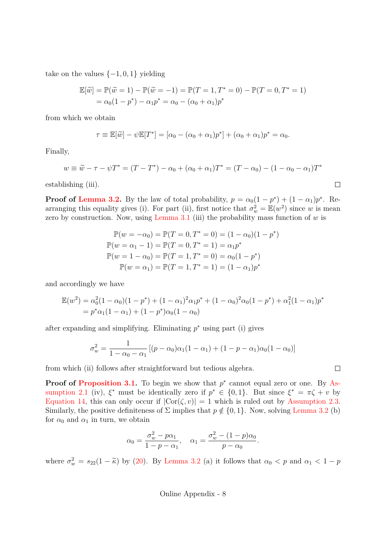take on the values  $\{-1, 0, 1\}$  yielding

$$
\mathbb{E}[\tilde{w}] = \mathbb{P}(\tilde{w} = 1) - \mathbb{P}(\tilde{w} = -1) = \mathbb{P}(T = 1, T^* = 0) - \mathbb{P}(T = 0, T^* = 1) \n= \alpha_0(1 - p^*) - \alpha_1 p^* = \alpha_0 - (\alpha_0 + \alpha_1)p^*
$$

from which we obtain

$$
\tau \equiv \mathbb{E}[\tilde{w}] - \psi \mathbb{E}[T^*] = [\alpha_0 - (\alpha_0 + \alpha_1)p^*] + (\alpha_0 + \alpha_1)p^* = \alpha_0.
$$

Finally,

$$
w \equiv \tilde{w} - \tau - \psi T^* = (T - T^*) - \alpha_0 + (\alpha_0 + \alpha_1) T^* = (T - \alpha_0) - (1 - \alpha_0 - \alpha_1) T^*
$$

 $\Box$ 

 $\Box$ 

establishing (iii).

**Proof of Lemma 3.2.** By the law of total probability,  $p = \alpha_0(1 - p^*) + (1 - \alpha_1)p^*$ . Rearranging this equality gives (i). For part (ii), first notice that  $\sigma_w^2 = \mathbb{E}(w^2)$  since w is mean zero by construction. Now, using Lemma 3.1 (iii) the probability mass function of  $w$  is

$$
\mathbb{P}(w = -\alpha_0) = \mathbb{P}(T = 0, T^* = 0) = (1 - \alpha_0)(1 - p^*)
$$
  

$$
\mathbb{P}(w = \alpha_1 - 1) = \mathbb{P}(T = 0, T^* = 1) = \alpha_1 p^*
$$
  

$$
\mathbb{P}(w = 1 - \alpha_0) = \mathbb{P}(T = 1, T^* = 0) = \alpha_0(1 - p^*)
$$
  

$$
\mathbb{P}(w = \alpha_1) = \mathbb{P}(T = 1, T^* = 1) = (1 - \alpha_1)p^*
$$

and accordingly we have

$$
\mathbb{E}(w^2) = \alpha_0^2 (1 - \alpha_0)(1 - p^*) + (1 - \alpha_1)^2 \alpha_1 p^* + (1 - \alpha_0)^2 \alpha_0 (1 - p^*) + \alpha_1^2 (1 - \alpha_1) p^*
$$
  
=  $p^* \alpha_1 (1 - \alpha_1) + (1 - p^*) \alpha_0 (1 - \alpha_0)$ 

after expanding and simplifying. Eliminating  $p^*$  using part (i) gives

$$
\sigma_w^2 = \frac{1}{1 - \alpha_0 - \alpha_1} \left[ (p - \alpha_0) \alpha_1 (1 - \alpha_1) + (1 - p - \alpha_1) \alpha_0 (1 - \alpha_0) \right]
$$

from which (ii) follows after straightforward but tedious algebra.

**Proof of Proposition 3.1.** To begin we show that  $p^*$  cannot equal zero or one. By Assumption 2.1 (iv),  $\xi^*$  must be identically zero if  $p^* \in \{0,1\}$ . But since  $\xi^* = \pi \zeta + v$  by Equation 14, this can only occur if  $|\text{Cor}(\zeta, v)| = 1$  which is ruled out by Assumption 2.3. Similarly, the positive definiteness of  $\Sigma$  implies that  $p \notin \{0, 1\}$ . Now, solving Lemma 3.2 (b) for  $\alpha_0$  and  $\alpha_1$  in turn, we obtain

$$
\alpha_0 = \frac{\sigma_w^2 - p\alpha_1}{1 - p - \alpha_1}, \quad \alpha_1 = \frac{\sigma_w^2 - (1 - p)\alpha_0}{p - \alpha_0}.
$$

where  $\sigma_w^2 = s_{22}(1 - \tilde{\kappa})$  by (20). By Lemma 3.2 (a) it follows that  $\alpha_0 < p$  and  $\alpha_1 < 1 - p$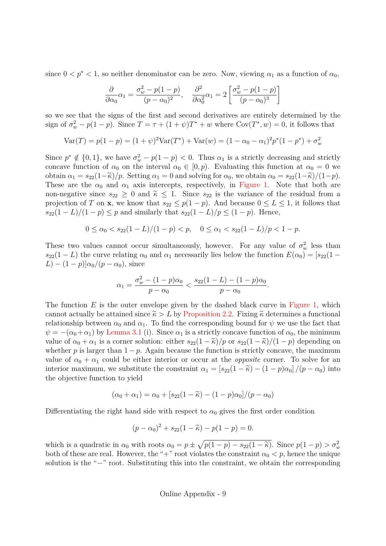since  $0 < p^* < 1$ , so neither denominator can be zero. Now, viewing  $\alpha_1$  as a function of  $\alpha_0$ ,

$$
\frac{\partial}{\partial \alpha_0} \alpha_1 = \frac{\sigma_w^2 - p(1-p)}{(p - \alpha_0)^2}, \quad \frac{\partial^2}{\partial \alpha_0^2} \alpha_1 = 2 \left[ \frac{\sigma_w^2 - p(1-p)}{(p - \alpha_0)^3} \right]
$$

so we see that the signs of the first and second derivatives are entirely determined by the sign of  $\sigma_w^2 - p(1-p)$ . Since  $T = \tau + (1+\psi)T^* + w$  where  $Cov(T^*, w) = 0$ , it follows that

$$
Var(T) = p(1 - p) = (1 + \psi)^2 Var(T^*) + Var(w) = (1 - \alpha_0 - \alpha_1)^2 p^*(1 - p^*) + \sigma_w^2
$$

Since  $p^* \notin \{0, 1\}$ , we have  $\sigma_w^2 - p(1 - p) < 0$ . Thus  $\alpha_1$  is a strictly decreasing and strictly concave function of  $\alpha_0$  on the interval  $\alpha_0 \in [0, p)$ . Evaluating this function at  $\alpha_0 = 0$  we obtain  $\alpha_1 = s_{22}(1-\tilde{\kappa})/p$ . Setting  $\alpha_1 = 0$  and solving for  $\alpha_0$ , we obtain  $\alpha_0 = s_{22}(1-\tilde{\kappa})/(1-p)$ . These are the  $\alpha_0$  and  $\alpha_1$  axis intercepts, respectively, in Figure 1. Note that both are non-negative since  $s_{22} \geq 0$  and  $\tilde{\kappa} \leq 1$ . Since  $s_{22}$  is the variance of the residual from a projection of T on **x**, we know that  $s_{22} \leq p(1-p)$ . And because  $0 \leq L \leq 1$ , it follows that  $s_{22}(1 - L)/(1 - p) \leq p$  and similarly that  $s_{22}(1 - L)/p \leq (1 - p)$ . Hence,

$$
0 \le \alpha_0 < s_{22}(1 - L)/(1 - p) < p, \quad 0 \le \alpha_1 < s_{22}(1 - L)/p < 1 - p.
$$

These two values cannot occur simultaneously, however. For any value of  $\sigma_w^2$  less than  $s_{22}(1 - L)$  the curve relating  $\alpha_0$  and  $\alpha_1$  necessarily lies below the function  $E(\alpha_0) = [s_{22}(1 - L)]$  $(L)-(1-p)]\alpha_0/(p-\alpha_0)$ , since

$$
\alpha_1 = \frac{\sigma_w^2 - (1 - p)\alpha_0}{p - \alpha_0} < \frac{s_{22}(1 - L) - (1 - p)\alpha_0}{p - \alpha_0}.
$$

The function  $E$  is the outer envelope given by the dashed black curve in Figure 1, which cannot actually be attained since  $\tilde{\kappa} > L$  by Proposition 2.2. Fixing  $\tilde{\kappa}$  determines a functional relationship between  $\alpha_0$  and  $\alpha_1$ . To find the corresponding bound for  $\psi$  we use the fact that  $\psi = -(\alpha_0 + \alpha_1)$  by Lemma 3.1 (i). Since  $\alpha_1$  is a strictly concave function of  $\alpha_0$ , the minimum value of  $\alpha_0 + \alpha_1$  is a corner solution: either  $s_{22}(1 - \tilde{\kappa})/p$  or  $s_{22}(1 - \tilde{\kappa})/(1 - p)$  depending on whether p is larger than  $1 - p$ . Again because the function is strictly concave, the maximum value of  $\alpha_0 + \alpha_1$  could be either interior or occur at the *opposite* corner. To solve for an interior maximum, we substitute the constraint  $\alpha_1 = [s_{22}(1 - \tilde{\kappa}) - (1 - p)\alpha_0]/(p - \alpha_0)$  into the objective function to yield

$$
(\alpha_0 + \alpha_1) = \alpha_0 + [s_{22}(1 - \tilde{\kappa}) - (1 - p)\alpha_0]/(p - \alpha_0)
$$

Differentiating the right hand side with respect to  $\alpha_0$  gives the first order condition

$$
(p - \alpha_0)^2 + s_{22}(1 - \widetilde{\kappa}) - p(1 - p) = 0.
$$

which is a quadratic in  $\alpha_0$  with roots  $\alpha_0 = p \pm \sqrt{p(1-p) - s_{22}(1-\tilde{\kappa})}$ . Since  $p(1-p) > \sigma_w^2$ both of these are real. However, the "+" root violates the constraint  $\alpha_0 < p$ , hence the unique solution is the "−" root. Substituting this into the constraint, we obtain the corresponding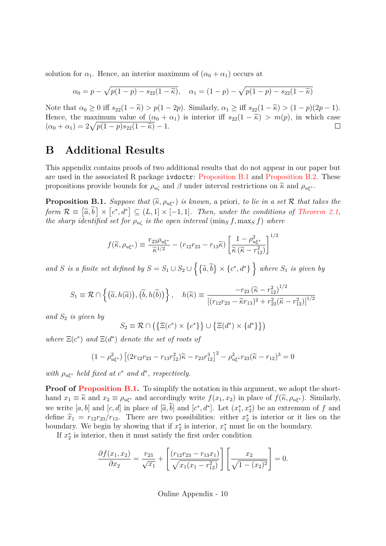solution for  $\alpha_1$ . Hence, an interior maximum of  $(\alpha_0 + \alpha_1)$  occurs at

$$
\alpha_0 = p - \sqrt{p(1-p) - s_{22}(1-\tilde{\kappa})}, \quad \alpha_1 = (1-p) - \sqrt{p(1-p) - s_{22}(1-\tilde{\kappa})}
$$

Note that  $\alpha_0 \geq 0$  iff  $s_{22}(1 - \widetilde{\kappa}) > p(1 - 2p)$ . Similarly,  $\alpha_1 \geq \text{iff } s_{22}(1 - \widetilde{\kappa}) > (1 - p)(2p - 1)$ . Hence, the maximum value of  $(\alpha_0 + \alpha_1)$  is interior iff  $s_{22}(1 - \tilde{\kappa}) > m(p)$ , in which case  $(\alpha_0 + \alpha_1) = 2\sqrt{p(1-p)s_{22}(1-\tilde{\kappa})} - 1$ .  $(\alpha_0 + \alpha_1) = 2\sqrt{p(1-p)s_{22}(1-\tilde{\kappa})} - 1.$ 

#### **B Additional Results**

This appendix contains proofs of two additional results that do not appear in our paper but are used in the associated R package ivdoctr: Proposition B.1 and Proposition B.2. These propositions provide bounds for  $\rho_{u\zeta}$  and  $\beta$  under interval restrictions on  $\tilde{\kappa}$  and  $\rho_{u\xi^*}$ .

**Proposition B.1.** *Suppose that*  $(\widetilde{\kappa}, \rho_{u\xi^*})$  *is known,* a priori*, to lie in a set* R *that takes the*  $form \mathcal{R} \equiv [\tilde{a}, \tilde{b}] \times [c^*, d^*] \subseteq (L, 1] \times [-1, 1]$ . Then, under the conditions of Theorem 2.1, *the sharp identified set for*  $\rho_{\mathfrak{u}\mathfrak{c}}$  *is the open interval* ( $\min_{S} f, \max_{S} f$ ) *where* 

$$
f(\widetilde{\kappa}, \rho_{u\xi^*}) \equiv \frac{r_{23}\rho_{u\xi^*}}{\widetilde{\kappa}^{1/2}} - (r_{12}r_{23} - r_{13}\widetilde{\kappa}) \left[ \frac{1 - \rho_{u\xi^*}^2}{\widetilde{\kappa}(\widetilde{\kappa} - r_{12}^2)} \right]^{1/2}
$$

*and* S *is a finite set defined by*  $S = S_1 \cup S_2 \cup \{ \{\tilde{a}, \tilde{b}\} \times \{c^*, d^* \} \}$  where  $S_1$  *is given by* 

$$
S_1 \equiv \mathcal{R} \cap \left\{ \left( \widetilde{a}, h(\widetilde{a}) \right), \left( \widetilde{b}, h(\widetilde{b}) \right) \right\}, \quad h(\widetilde{\kappa}) \equiv \frac{-r_{23} \left( \widetilde{\kappa} - r_{12}^2 \right)^{1/2}}{\left[ (r_{12}r_{23} - \widetilde{\kappa}r_{13})^2 + r_{23}^2 (\widetilde{\kappa} - r_{12}^2) \right]^{1/2}}
$$

*and* S<sup>2</sup> *is given by*

$$
S_2 \equiv \mathcal{R} \cap (\{\Xi(c^*) \times \{c^*\}\} \cup \{\Xi(d^*) \times \{d^*\}\})
$$

*where*  $E(c^*)$  *and*  $E(d^*)$  *denote the set of roots of* 

$$
(1 - \rho_{u\xi^*}^2) \left[ (2r_{12}r_{23} - r_{13}r_{12}^2)\tilde{\kappa} - r_{23}r_{12}^3 \right]^2 - \rho_{u\xi^*}^2 r_{23}(\tilde{\kappa} - r_{12})^3 = 0
$$

*with*  $\rho_{\mathbf{u}\xi^*}$  *held fixed at*  $c^*$  *and*  $d^*$ *, respectively.* 

**Proof of Proposition B.1.** To simplify the notation in this argument, we adopt the shorthand  $x_1 \equiv \tilde{\kappa}$  and  $x_2 \equiv \rho_{u\xi^*}$  and accordingly write  $f(x_1, x_2)$  in place of  $f(\tilde{\kappa}, \rho_{u\xi^*})$ . Similarly, we write  $[a, b]$  and  $[c, d]$  in place of  $[\tilde{a}, b]$  and  $[c^*, d^*]$ . Let  $(x_1^*, x_2^*)$  be an extremum of f and define  $\hat{x}_1 = r_{12}r_{23}/r_{13}$ . There are two possibilities: either  $x_2^*$  is interior or it lies on the boundary. We begin by showing that if  $x_2^*$  is interior,  $x_1^*$  must lie on the boundary.

If  $x_2^*$  is interior, then it must satisfy the first order condition

$$
\frac{\partial f(x_1, x_2)}{\partial x_2} = \frac{r_{23}}{\sqrt{x_1}} + \left[ \frac{(r_{12}r_{23} - r_{13}x_1)}{\sqrt{x_1(x_1 - r_{12}^2)}} \right] \left[ \frac{x_2}{\sqrt{1 - (x_2)^2}} \right] = 0.
$$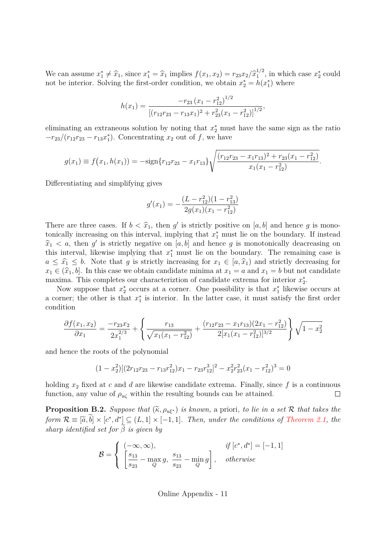We can assume  $x_1^* \neq \hat{x}_1$ , since  $x_1^* = \hat{x}_1$  implies  $f(x_1, x_2) = r_{23}x_2/\hat{x}_1^{1/2}$ , in which case  $x_2^*$  could not be interior. Solving the first-order condition, we obtain  $x_2^* = h(x_1^*)$  where

$$
h(x_1) = \frac{-r_{23} (x_1 - r_{12}^2)^{1/2}}{\left[ (r_{12}r_{23} - r_{13}r_{1})^2 + r_{23}^2 (x_1 - r_{12}^2) \right]^{1/2}},
$$

eliminating an extraneous solution by noting that  $x_2^*$  must have the same sign as the ratio  $-r_{23}/(r_{12}r_{23}-r_{13}r_1^*)$ . Concentrating  $x_2$  out of  $f$ , we have

$$
g(x_1) \equiv f(x_1, h(x_1)) = -\text{sign}\{r_{12}r_{23} - x_1r_{13}\}\sqrt{\frac{(r_{12}r_{23} - x_1r_{13})^2 + r_{23}(x_1 - r_{12}^2)}{x_1(x_1 - r_{12}^2)}}.
$$

Differentiating and simplifying gives

$$
g'(x_1) = -\frac{(L - r_{12}^2)(1 - r_{13}^2)}{2g(x_1)(x_1 - r_{12}^2)}
$$

There are three cases. If  $b < \hat{x}_1$ , then g' is strictly positive on [a, b] and hence g is monotonically increasing on this interval, implying that  $x_1^*$  must lie on the boundary. If instead  $\hat{x}_1 \leq a$ , then g' is strictly negative on [a, b] and hence g is monotonically deacreasing on this interval, likewise implying that  $x_1^*$  must lie on the boundary. The remaining case is  $a \leq \hat{x}_1 \leq b$ . Note that g is strictly increasing for  $x_1 \in [a, \hat{x}_1)$  and strictly decreasing for  $x_1 \in (\hat{x}_1, b]$ . In this case we obtain candidate minima at  $x_1 = a$  and  $x_1 = b$  but not candidate maxima. This completes our characterization of candidate extrema for interior  $x_2^*$ .

Now suppose that  $x_2^*$  occurs at a corner. One possibility is that  $x_1^*$  likewise occurs at a corner; the other is that  $x_1^*$  is interior. In the latter case, it must satisfy the first order condition

$$
\frac{\partial f(x_1, x_2)}{\partial x_1} = \frac{-r_{23}x_2}{2x_1^{2/3}} + \left\{ \frac{r_{13}}{\sqrt{x_1(x_1 - r_{12}^2)}} + \frac{(r_{12}r_{23} - x_1r_{13})(2x_1 - r_{12}^2)}{2[x_1(x_1 - r_{12}^2)]^{3/2}} \right\} \sqrt{1 - x_2^2}
$$

and hence the roots of the polynomial

$$
(1 - x_2^2)[(2r_{12}r_{23} - r_{13}r_{12}^2)x_1 - r_{23}r_{12}^3]^2 - x_2^2r_{23}^2(x_1 - r_{12}^2)^3 = 0
$$

holding  $x_2$  fixed at c and d are likewise candidate extrema. Finally, since f is a continuous function, any value of  $\rho_{\mu\zeta}$  within the resulting bounds can be attained.  $\Box$ 

**Proposition B.2.** *Suppose that*  $(\widetilde{\kappa}, \rho_{u\xi^*})$  *is known,* a priori*, to lie in a set* R *that takes the form*  $\mathcal{R} \equiv [\tilde{a},b] \times [c^*,d^*] \subseteq (L,1] \times [-1,1]$ *. Then, under the conditions of Theorem 2.1, the*  $sharp$  *identified set for*  $\beta$  *is given by* 

$$
\mathcal{B} = \begin{cases}\n(-\infty, \infty), & \text{if } [c^*, d^*] = [-1, 1] \\
\left[\frac{s_{13}}{s_{23}} - \max_Q g, \frac{s_{13}}{s_{23}} - \min_Q g\right], & \text{otherwise}\n\end{cases}
$$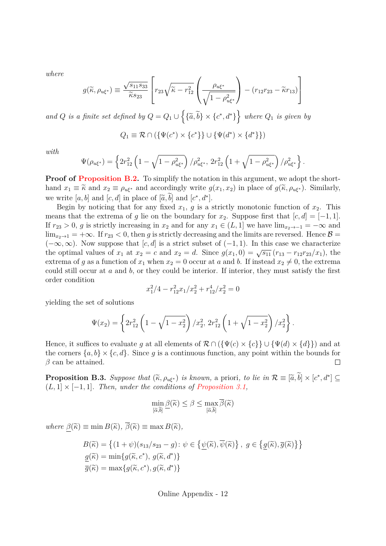*where*

$$
g(\widetilde{\kappa}, \rho_{u\xi^*}) \equiv \frac{\sqrt{s_{11}s_{33}}}{\widetilde{\kappa}s_{23}} \left[ r_{23} \sqrt{\widetilde{\kappa} - r_{12}^2} \left( \frac{\rho_{u\xi^*}}{\sqrt{1 - \rho_{u\xi^*}^2}} \right) - (r_{12}r_{23} - \widetilde{\kappa}r_{13}) \right]
$$

*and* Q *is a finite set defined by*  $Q = Q_1 \cup \{ \{\tilde{a}, \tilde{b}\} \times \{c^*, d^* \} \}$  where  $Q_1$  *is given by* 

$$
Q_1 \equiv \mathcal{R} \cap (\{\Psi(c^*) \times \{c^*\}\} \cup \{\Psi(d^*) \times \{d^*\}\})
$$

*with*

$$
\Psi(\rho_{u\xi^*}) = \left\{ 2r_{12}^2 \left( 1 - \sqrt{1 - \rho_{u\xi^*}^2} \right) / \rho_{u\xi^*}^2, 2r_{12}^2 \left( 1 + \sqrt{1 - \rho_{u\xi^*}^2} \right) / \rho_{u\xi^*}^2 \right\}.
$$

**Proof of Proposition B.2.** To simplify the notation in this argument, we adopt the shorthand  $x_1 \equiv \tilde{\kappa}$  and  $x_2 \equiv \rho_{u\xi^*}$  and accordingly write  $g(x_1, x_2)$  in place of  $g(\tilde{\kappa}, \rho_{u\xi^*})$ . Similarly, we write [a, b] and [c, d] in place of [ $\tilde{a}$ , b] and [c<sup>\*</sup>, d<sup>\*</sup>].

Begin by noticing that for any fixed  $x_1, g$  is a strictly monotonic function of  $x_2$ . This means that the extrema of g lie on the boundary for  $x_2$ . Suppose first that  $[c, d] = [-1, 1]$ . If  $r_{23} > 0$ , g is strictly increasing in  $x_2$  and for any  $x_1 \in (L, 1]$  we have  $\lim_{x_2 \to -1} = -\infty$  and  $\lim_{x_2 \to 1}$  = + $\infty$ . If  $r_{23}$  < 0, then g is strictly decreasing and the limits are reversed. Hence  $\beta$  =  $(-\infty, \infty)$ . Now suppose that  $[c, d]$  is a strict subset of  $(-1, 1)$ . In this case we characterize the optimal values of  $x_1$  at  $x_2 = c$  and  $x_2 = d$ . Since  $g(x_1, 0) = \sqrt{s_{11}} (r_{13} - r_{12}r_{23}/x_1)$ , the extrema of g as a function of  $x_1$  when  $x_2 = 0$  occur at a and b. If instead  $x_2 \neq 0$ , the extrema could still occur at a and b, or they could be interior. If interior, they must satisfy the first order condition

$$
x_1^2/4 - r_{12}^2 x_1/x_2^2 + r_{12}^4/x_2^2 = 0
$$

yielding the set of solutions

$$
\Psi(x_2) = \left\{ 2r_{12}^2 \left( 1 - \sqrt{1 - x_2^2} \right) / x_2^2, 2r_{12}^2 \left( 1 + \sqrt{1 - x_2^2} \right) / x_2^2 \right\}.
$$

Hence, it suffices to evaluate q at all elements of  $\mathcal{R} \cap (\{\Psi(c) \times \{c\}\} \cup \{\Psi(d) \times \{d\}\})$  and at the corners  $\{a, b\} \times \{c, d\}$ . Since g is a continuous function, any point within the bounds for  $\beta$  can be attained.  $\beta$  can be attained.

**Proposition B.3.** *Suppose that*  $(\tilde{\kappa}, \rho_{u\xi^*})$  *is known,* a priori*, to lie in*  $\mathcal{R} \equiv [\tilde{a}, \tilde{b}] \times [c^*, d^*] \subseteq$ (L, 1] × [−1, 1]*. Then, under the conditions of Proposition 3.1,*

$$
\min_{\left[\widetilde{\alpha},\widetilde{b}\right]} \underline{\beta}(\widetilde{\kappa}) \leq \beta \leq \max_{\left[\widetilde{\alpha},\widetilde{b}\right]} \overline{\beta}(\widetilde{\kappa})
$$

*where*  $\beta(\tilde{\kappa}) \equiv \min B(\tilde{\kappa}), \overline{\beta}(\tilde{\kappa}) \equiv \max B(\tilde{\kappa}),$ 

$$
B(\widetilde{\kappa}) = \left\{ (1 + \psi)(s_{13}/s_{23} - g) : \psi \in \left\{ \underline{\psi}(\widetilde{\kappa}), \overline{\psi}(\widetilde{\kappa}) \right\}, g \in \left\{ \underline{g}(\widetilde{\kappa}), \overline{g}(\widetilde{\kappa}) \right\} \right\}
$$

$$
\underline{g}(\widetilde{\kappa}) = \min \{ g(\widetilde{\kappa}, c^*), g(\widetilde{\kappa}, d^*) \}
$$

$$
\overline{g}(\widetilde{\kappa}) = \max \{ g(\widetilde{\kappa}, c^*), g(\widetilde{\kappa}, d^*) \}
$$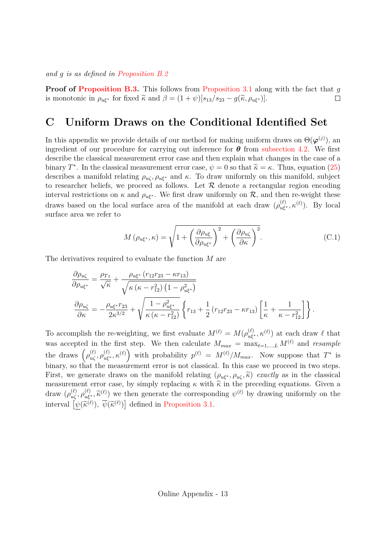*and* g *is as defined in Proposition B.2*

**Proof of Proposition B.3.** This follows from Proposition 3.1 along with the fact that g is monotonic in  $\rho_{u\xi^*}$  for fixed  $\tilde{\kappa}$  and  $\beta = (1 + \psi)[s_{13}/s_{23} - g(\tilde{\kappa}, \rho_{u\xi^*})].$  $\Box$ 

#### **C Uniform Draws on the Conditional Identified Set**

In this appendix we provide details of our method for making uniform draws on  $\Theta(\boldsymbol{\varphi}^{(j)})$ , and ingredient of our procedure for carrying out inference for  $\theta$  from subsection 4.2. We first describe the classical measurement error case and then explain what changes in the case of a binary T<sup>∗</sup>. In the classical measurement error case,  $\psi = 0$  so that  $\tilde{\kappa} = \kappa$ . Thus, equation (25) describes a manifold relating  $\rho_{u\zeta}, \rho_{u\xi^*}$  and  $\kappa$ . To draw uniformly on this manifold, subject to researcher beliefs, we proceed as follows. Let  $R$  denote a rectangular region encoding interval restrictions on  $\kappa$  and  $\rho_{\mathbf{u}\xi^*}$ . We first draw uniformly on  $\mathcal{R}$ , and then re-weight these draws based on the local surface area of the manifold at each draw  $(\rho_{u\xi^*}^{(\ell)}, \kappa^{(\ell)})$ . By local surface area we refer to

$$
M\left(\rho_{u\xi^*},\kappa\right) = \sqrt{1 + \left(\frac{\partial \rho_{u\xi}}{\partial \rho_{u\xi^*}}\right)^2 + \left(\frac{\partial \rho_{u\zeta}}{\partial \kappa}\right)^2}.\tag{C.1}
$$

The derivatives required to evaluate the function M are

$$
\frac{\partial \rho_{u\zeta}}{\partial \rho_{u\xi^*}} = \frac{\rho_{Tz}}{\sqrt{\kappa}} + \frac{\rho_{u\xi^*} (r_{12}r_{23} - \kappa r_{13})}{\sqrt{\kappa (\kappa - r_{12}^2) (1 - \rho_{u\xi^*}^2)}}
$$
\n
$$
\frac{\partial \rho_{u\zeta}}{\partial \kappa} = -\frac{\rho_{u\xi^*} r_{23}}{2\kappa^{3/2}} + \sqrt{\frac{1 - \rho_{u\xi^*}^2}{\kappa (\kappa - r_{12}^2)}} \left\{ r_{13} + \frac{1}{2} (r_{12}r_{23} - \kappa r_{13}) \left[ \frac{1}{\kappa} + \frac{1}{\kappa - r_{12}^2} \right] \right\}.
$$

To accomplish the re-weighting, we first evaluate  $M^{(\ell)} = M(\rho_{u\xi^*}^{(\ell)}, \kappa^{(\ell)})$  at each draw  $\ell$  that was accepted in the first step. We then calculate  $M_{max} = \max_{\ell=1,\dots,L} M^{(\ell)}$  and *resample* the draws  $(\rho_{u\zeta}^{(\ell)}, \rho_{u\zeta^*}^{(\ell)}, \kappa^{(\ell)})$  with probability  $p^{(\ell)} = M^{(\ell)}/M_{max}$ . Now suppose that  $T^*$  is binary, so that the measurement error is not classical. In this case we proceed in two steps. First, we generate draws on the manifold relating  $(\rho_{u\xi^*}, \rho_{u\zeta}, \tilde{\kappa})$  *exactly* as in the classical measurement error case, by simply replacing  $\kappa$  with  $\tilde{\kappa}$  in the preceding equations. Given a draw  $(\rho_{u\zeta}^{(\ell)}, \rho_{u\zeta}^{(\ell)}, \tilde{\kappa}^{(\ell)})$  we then generate the corresponding  $\psi^{(\ell)}$  by drawing uniformly on the interval  $\left[\psi(\tilde{\kappa}^{(\ell)}), \overline{\psi}(\tilde{\kappa}^{(\ell)})\right]$  defined in Proposition 3.1.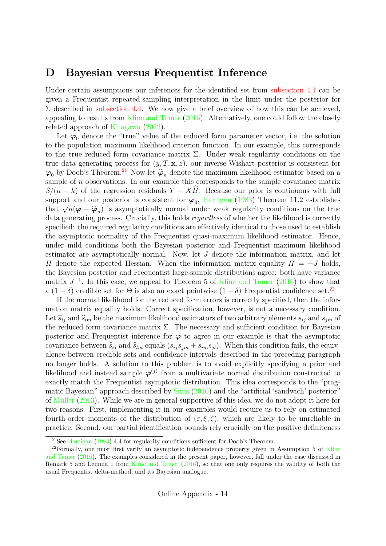#### **D Bayesian versus Frequentist Inference**

Under certain assumptions our inferences for the identified set from subsection 4.1 can be given a Frequentist repeated-sampling interpretation in the limit under the posterior for  $\Sigma$  described in subsection 4.4. We now give a brief overview of how this can be achieved, appealing to results from Kline and Tamer (2016). Alternatively, one could follow the closely related approach of Kitagawa (2012).

Let  $\varphi_0$  denote the "true" value of the reduced form parameter vector, i.e. the solution to the population maximum likelihood criterion function. In our example, this corresponds to the true reduced form covariance matrix  $\Sigma$ . Under weak regularity conditions on the true data generating process for  $(y, T, \mathbf{x}, z)$ , our inverse-Wishart posterior is consistent for  $\varphi_0$  by Doob's Theorem.<sup>21</sup> Now let  $\hat{\varphi}_n$  denote the maximum likelihood estimator based on a sample of n observations. In our example this corresponds to the sample covariance matrix  $S/(n-k)$  of the regression residuals  $Y - X\widehat{B}$ . Because our prior is continuous with full support and our posterior is consistent for  $\varphi_0$ , Hartigan (1983) Theorem 11.2 establishes that  $\sqrt{n}(\varphi - \hat{\varphi}_n)$  is asymptotically normal under weak regularity conditions on the true data generating process. Crucially, this holds *regardless* of whether the likelihood is correctly specified: the required regularity conditions are effectively identical to those used to establish the asymptotic normality of the Frequentist quasi-maximum likelihood estimator. Hence, under mild conditions both the Bayesian posterior and Frequentist maximum likelihood estimator are asymptotically normal. Now, let J denote the information matrix, and let H denote the expected Hessian. When the information matrix equality  $H = -J$  holds, the Bayesian posterior and Frequentist large-sample distributions agree: both have variance matrix  $J^{-1}$ . In this case, we appeal to Theorem 5 of Kline and Tamer (2016) to show that a  $(1 - \delta)$  credible set for  $\Theta$  is also an exact pointwise  $(1 - \delta)$  Frequentist confidence set.<sup>22</sup>

If the normal likelihood for the reduced form errors is correctly specified, then the information matrix equality holds. Correct specification, however, is not a necessary condition. Let  $\widehat{s}_{ij}$  and  $\widehat{s}_{lm}$  be the maximum likelihood estimators of two arbitrary elements  $s_{ij}$  and  $s_{jm}$  of the reduced form covariance matrix  $\Sigma$ . The necessary and sufficient condition for Bayesian posterior and Frequentist inference for  $\varphi$  to agree in our example is that the asymptotic covariance between  $\hat{s}_{ij}$  and  $\hat{s}_{lm}$  equals  $(s_{ij}s_{jm} + s_{im}s_{jl})$ . When this condition fails, the equivalence between credible sets and confidence intervals described in the preceding paragraph no longer holds. A solution to this problem is to avoid explicitly specifying a prior and likelihood and instead sample  $\varphi^{(j)}$  from a multivariate normal distribution constructed to exactly match the Frequentist asymptotic distribution. This idea corresponds to the "pragmatic Bayesian" approach described by Sims (2010) and the "artificial 'sandwich' posterior" of Müller (2013). While we are in general supportive of this idea, we do not adopt it here for two reasons. First, implementing it in our examples would require us to rely on estimated fourth-order moments of the distribution of  $(\varepsilon, \xi, \zeta)$ , which are likely to be unreliable in practice. Second, our partial identification bounds rely crucially on the positive definiteness

<sup>&</sup>lt;sup>21</sup>See Hartigan (1983) 4.4 for regularity conditions sufficient for Doob's Theorem.

 $22$ Formally, one must first verify an asymptotic independence property given in Assumption 5 of Kline and Tamer (2016). The examples considered in the present paper, however, fall under the case discussed in Remark 5 and Lemma 1 from Kline and Tamer (2016), so that one only requires the validity of both the usual Frequentist delta-method, and its Bayesian analogue.